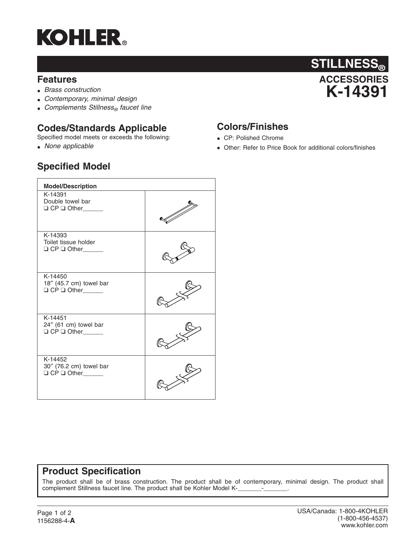

#### **Features**

- *Brass construction*
- *Contemporary, minimal design*
- Complements Stillness<sub>®</sub> faucet line

### **Codes/Standards Applicable**

Specified model meets or exceeds the following:

• *None applicable*



## **Colors/Finishes**

- CP: Polished Chrome
- Other: Refer to Price Book for additional colors/finishes

# **Specified Model**

| <b>Model/Description</b>                                            |  |
|---------------------------------------------------------------------|--|
| K-14391<br>Double towel bar<br>$\Box$ CP $\Box$ Other_______        |  |
| K-14393<br>Toilet tissue holder<br>O CP O Other                     |  |
| K-14450<br>18" (45.7 cm) towel bar<br>$\Box$ CP $\Box$ Other_______ |  |
| K-14451<br>24" (61 cm) towel bar<br>O CP O Other_____               |  |
| K-14452<br>30" (76.2 cm) towel bar<br>O CP O Other                  |  |

# **Product Specification**

The product shall be of brass construction. The product shall be of contemporary, minimal design. The product shall complement Stillness faucet line. The product shall be Kohler Model K-\_\_\_\_\_\_\_-\_\_\_\_\_\_\_.